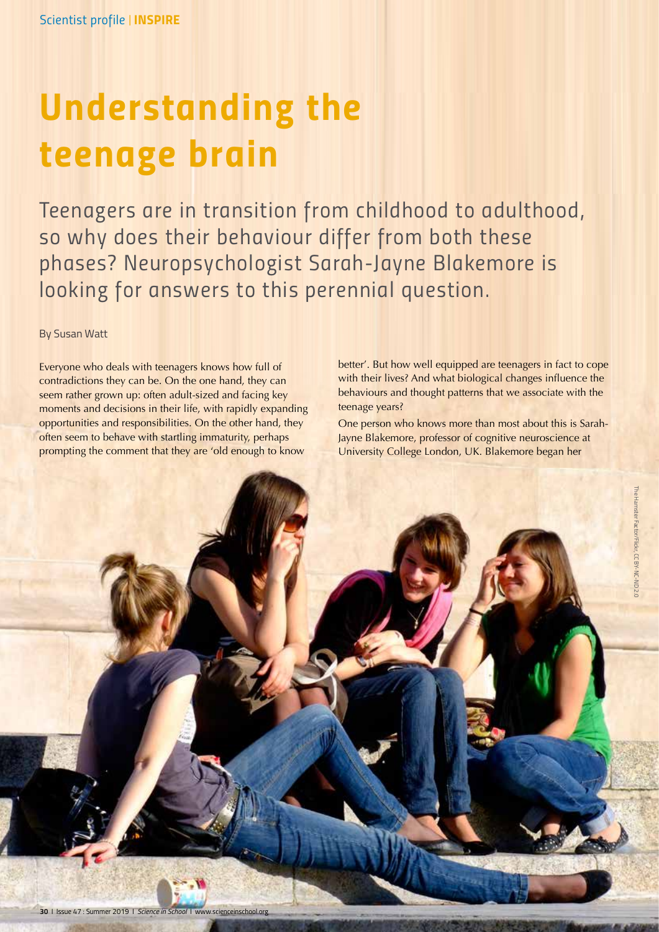*Scientist profile | INSPIRE*

# *Understanding the teenage brain*

*Teenagers are in transition from childhood to adulthood, so why does their behaviour differ from both these phases? Neuropsychologist Sarah-Jayne Blakemore is looking for answers to this perennial question.*

By Susan Watt

Everyone who deals with teenagers knows how full of contradictions they can be. On the one hand, they can seem rather grown up: often adult-sized and facing key moments and decisions in their life, with rapidly expanding opportunities and responsibilities. On the other hand, they often seem to behave with startling immaturity, perhaps prompting the comment that they are 'old enough to know

better'. But how well equipped are teenagers in fact to cope with their lives? And what biological changes influence the behaviours and thought patterns that we associate with the teenage years?

One person who knows more than most about this is Sarah-Jayne Blakemore, professor of cognitive neuroscience at University College London, UK. Blakemore began her

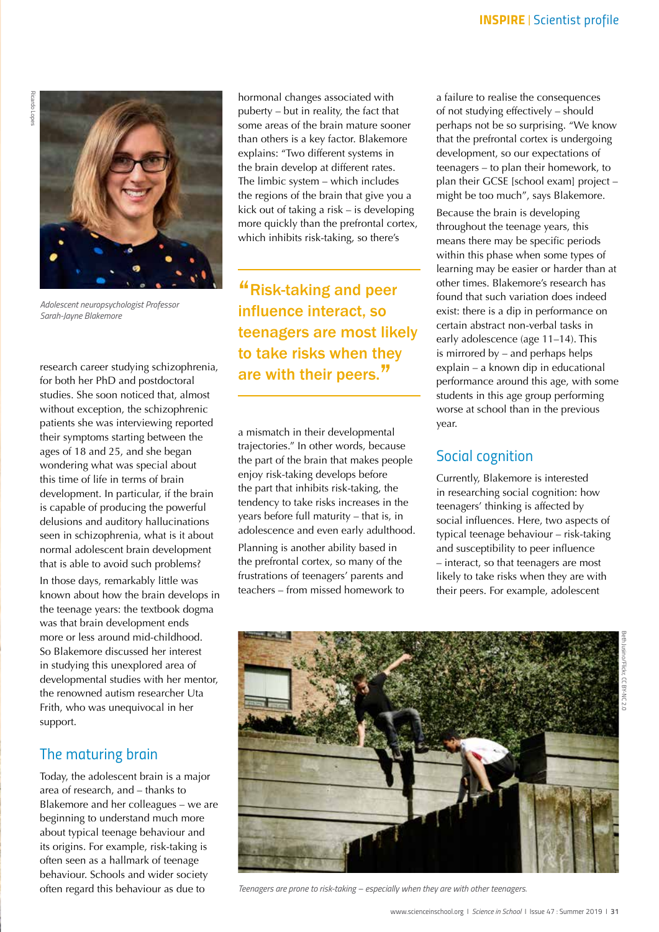

*Adolescent neuropsychologist Professor Sarah-Jayne Blakemore*

research career studying schizophrenia, for both her PhD and postdoctoral studies. She soon noticed that, almost without exception, the schizophrenic patients she was interviewing reported their symptoms starting between the ages of 18 and 25, and she began wondering what was special about this time of life in terms of brain development. In particular, if the brain is capable of producing the powerful delusions and auditory hallucinations seen in schizophrenia, what is it about normal adolescent brain development that is able to avoid such problems? In those days, remarkably little was known about how the brain develops in the teenage years: the textbook dogma was that brain development ends more or less around mid-childhood. So Blakemore discussed her interest in studying this unexplored area of developmental studies with her mentor, the renowned autism researcher Uta Frith, who was unequivocal in her support.

## *The maturing brain*

Today, the adolescent brain is a major area of research, and – thanks to Blakemore and her colleagues – we are beginning to understand much more about typical teenage behaviour and its origins. For example, risk-taking is often seen as a hallmark of teenage behaviour. Schools and wider society often regard this behaviour as due to

hormonal changes associated with puberty – but in reality, the fact that some areas of the brain mature sooner than others is a key factor. Blakemore explains: "Two different systems in the brain develop at different rates. The limbic system – which includes the regions of the brain that give you a kick out of taking a risk – is developing more quickly than the prefrontal cortex, which inhibits risk-taking, so there's

"Risk-taking and peer influence interact, so teenagers are most likely to take risks when they are with their peers."

a mismatch in their developmental trajectories." In other words, because the part of the brain that makes people enjoy risk-taking develops before the part that inhibits risk-taking, the tendency to take risks increases in the years before full maturity – that is, in adolescence and even early adulthood. Planning is another ability based in the prefrontal cortex, so many of the frustrations of teenagers' parents and teachers – from missed homework to

a failure to realise the consequences of not studying effectively – should perhaps not be so surprising. "We know that the prefrontal cortex is undergoing development, so our expectations of teenagers – to plan their homework, to plan their GCSE [school exam] project – might be too much", says Blakemore.

Because the brain is developing throughout the teenage years, this means there may be specific periods within this phase when some types of learning may be easier or harder than at other times. Blakemore's research has found that such variation does indeed exist: there is a dip in performance on certain abstract non-verbal tasks in early adolescence (age 11–14). This is mirrored by – and perhaps helps explain – a known dip in educational performance around this age, with some students in this age group performing worse at school than in the previous year.

# *Social cognition*

Currently, Blakemore is interested in researching social cognition: how teenagers' thinking is affected by social influences. Here, two aspects of typical teenage behaviour – risk-taking and susceptibility to peer influence – interact, so that teenagers are most likely to take risks when they are with their peers. For example, adolescent





*Teenagers are prone to risk-taking – especially when they are with other teenagers.*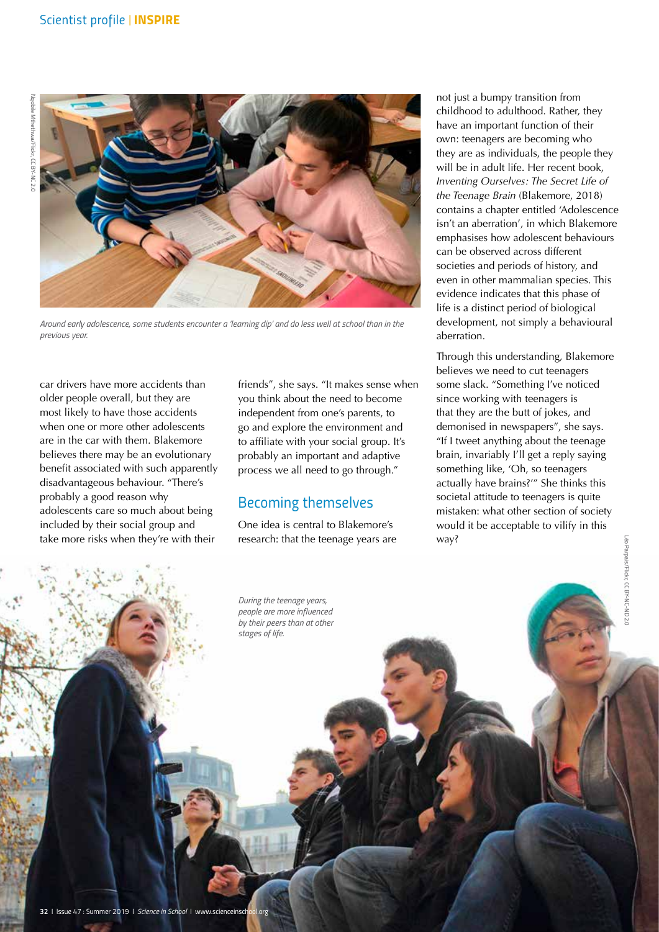

*Around early adolescence, some students encounter a 'learning dip' and do less well at school than in the previous year.*

car drivers have more accidents than older people overall, but they are most likely to have those accidents when one or more other adolescents are in the car with them. Blakemore believes there may be an evolutionary benefit associated with such apparently disadvantageous behaviour. "There's probably a good reason why adolescents care so much about being included by their social group and take more risks when they're with their

friends", she says. "It makes sense when you think about the need to become independent from one's parents, to go and explore the environment and to affiliate with your social group. It's probably an important and adaptive process we all need to go through."

# *Becoming themselves*

*During the teenage years, people are more influenced by their peers than at other* 

*stages of life.*

One idea is central to Blakemore's research: that the teenage years are not just a bumpy transition from childhood to adulthood. Rather, they have an important function of their own: teenagers are becoming who they are as individuals, the people they will be in adult life. Her recent book, *Inventing Ourselves: The Secret Life of the Teenage Brain* (Blakemore, 2018) contains a chapter entitled 'Adolescence isn't an aberration', in which Blakemore emphasises how adolescent behaviours can be observed across different societies and periods of history, and even in other mammalian species. This evidence indicates that this phase of life is a distinct period of biological development, not simply a behavioural aberration.

Through this understanding, Blakemore believes we need to cut teenagers some slack. "Something I've noticed since working with teenagers is that they are the butt of jokes, and demonised in newspapers", she says. "If I tweet anything about the teenage brain, invariably I'll get a reply saying something like, 'Oh, so teenagers actually have brains?'" She thinks this societal attitude to teenagers is quite mistaken: what other section of society would it be acceptable to vilify in this way?

Léo Parpais/Flickr, CC BY-NC-ND 2.0

éo Parpais/Flickr, CC BY-NC-ND